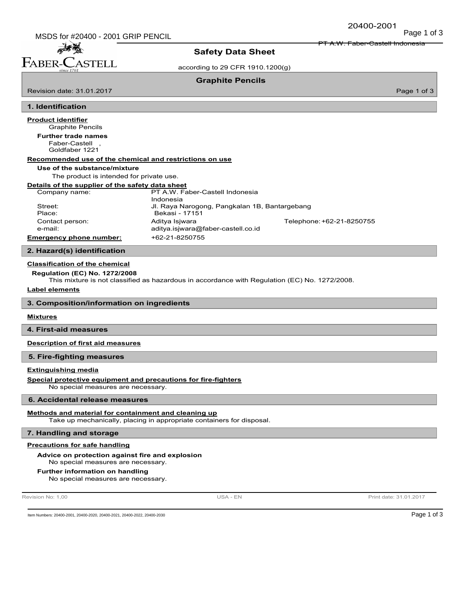PT A.W. Faber-Castell Indonesia

麻香醋 FABER-CASTELL

Revision date: 31.01.2017

# Safety Data Sheet

according to 29 CFR 1910.1200(g)

Graphite Pencils

Page 1 of 3

### 1. Identification

# Product identifier

# Graphite Pencils

Faber-Castell , Goldfaber 1221 Further trade names

#### Recommended use of the chemical and restrictions on use

#### Use of the substance/mixture

The product is intended for private use.

## Details of the supplier of the safety data sheet

| Company name:                  | PT A.W. Faber-Castell Indonesia               |                           |
|--------------------------------|-----------------------------------------------|---------------------------|
|                                | Indonesia                                     |                           |
| Street:                        | Jl. Raya Narogong, Pangkalan 1B, Bantargebang |                           |
| Place:                         | Bekasi - 17151                                |                           |
| Contact person:                | Aditya Isjwara                                | Telephone: +62-21-8250755 |
| e-mail:                        | aditya.isjwara@faber-castell.co.id            |                           |
| <b>Emergency phone number:</b> | +62-21-8250755                                |                           |
|                                |                                               |                           |

## 2. Hazard(s) identification

#### Classification of the chemical

## Regulation (EC) No. 1272/2008

This mixture is not classified as hazardous in accordance with Regulation (EC) No. 1272/2008.

#### Label elements

3. Composition/information on ingredients

## **Mixtures**

4. First-aid measures

## Description of first aid measures

### 5. Fire-fighting measures

## Extinguishing media

Special protective equipment and precautions for fire-fighters

No special measures are necessary.

#### 6. Accidental release measures

### Methods and material for containment and cleaning up

Take up mechanically, placing in appropriate containers for disposal.

### 7. Handling and storage

## Precautions for safe handling

## Advice on protection against fire and explosion

No special measures are necessary.

#### Further information on handling

No special measures are necessary.

Revision No: 1,00 **Print date: 31.01.2017** USA - EN USA - EN Print date: 31.01.2017

Item Numbers: 20400-2001, 20400-2020, 20400-2021, 20400-2022, 20400-2030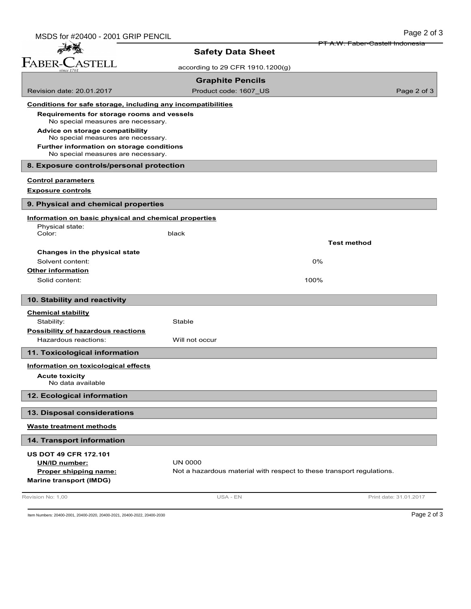| MSDS for #20400 - 2001 GRIP PENCIL                                    |                                                                       | Page 2 of 3                                |
|-----------------------------------------------------------------------|-----------------------------------------------------------------------|--------------------------------------------|
|                                                                       |                                                                       | <del>PT A.W. Faber-Castell Indonesia</del> |
| FABER-CASTELL                                                         | <b>Safety Data Sheet</b>                                              |                                            |
|                                                                       | according to 29 CFR 1910.1200(g)                                      |                                            |
|                                                                       | <b>Graphite Pencils</b>                                               |                                            |
| Revision date: 20.01.2017                                             | Product code: 1607_US                                                 | Page 2 of 3                                |
| Conditions for safe storage, including any incompatibilities          |                                                                       |                                            |
| Requirements for storage rooms and vessels                            |                                                                       |                                            |
| No special measures are necessary.                                    |                                                                       |                                            |
| Advice on storage compatibility<br>No special measures are necessary. |                                                                       |                                            |
| Further information on storage conditions                             |                                                                       |                                            |
| No special measures are necessary.                                    |                                                                       |                                            |
| 8. Exposure controls/personal protection                              |                                                                       |                                            |
| <b>Control parameters</b>                                             |                                                                       |                                            |
| <b>Exposure controls</b>                                              |                                                                       |                                            |
| 9. Physical and chemical properties                                   |                                                                       |                                            |
| Information on basic physical and chemical properties                 |                                                                       |                                            |
| Physical state:                                                       |                                                                       |                                            |
| Color:                                                                | black                                                                 | <b>Test method</b>                         |
| Changes in the physical state                                         |                                                                       |                                            |
| Solvent content:                                                      |                                                                       | 0%                                         |
| <b>Other information</b>                                              |                                                                       |                                            |
| Solid content:                                                        |                                                                       | 100%                                       |
|                                                                       |                                                                       |                                            |
| 10. Stability and reactivity                                          |                                                                       |                                            |
| <b>Chemical stability</b>                                             |                                                                       |                                            |
| Stability:<br><b>Possibility of hazardous reactions</b>               | Stable                                                                |                                            |
| Hazardous reactions:                                                  | Will not occur                                                        |                                            |
| 11. Toxicological information                                         |                                                                       |                                            |
|                                                                       |                                                                       |                                            |
| Information on toxicological effects<br><b>Acute toxicity</b>         |                                                                       |                                            |
| No data available                                                     |                                                                       |                                            |
| 12. Ecological information                                            |                                                                       |                                            |
|                                                                       |                                                                       |                                            |
| 13. Disposal considerations                                           |                                                                       |                                            |
| <b>Waste treatment methods</b>                                        |                                                                       |                                            |
| 14. Transport information                                             |                                                                       |                                            |
| <b>US DOT 49 CFR 172.101</b>                                          |                                                                       |                                            |
| <b>UN/ID number:</b>                                                  | <b>UN 0000</b>                                                        |                                            |
| Proper shipping name:<br><b>Marine transport (IMDG)</b>               | Not a hazardous material with respect to these transport regulations. |                                            |
|                                                                       |                                                                       |                                            |
| Revision No: 1,00                                                     | USA - EN                                                              | Print date: 31.01.2017                     |

Item Numbers: 20400-2001, 20400-2020, 20400-2021, 20400-2022, 20400-2030